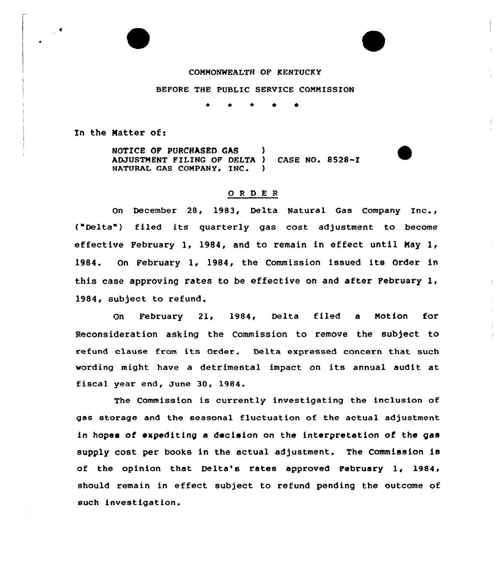## COMMONWEALTH OF KENTUCKY

## BEFORE THE PUBLIC SERVICE COMMISSION

\* \* <sup>~</sup> 0

In the Matter of:

NOTICE OF PURCHASED GAS ) ADJUSTMENT FILING OF DELTA ) CASE NO. 8528-I NATURAL GAS COMPANY, INC.

## ORDER

On December 28, 1983, Delta Natural Gas Company Inc., ("Delta") filed its quarterly gas cost adjustment to become effective February 1, 1984, and to remain in effect until May 1, 1984. On Februaxy 1, 1984, the Commission issued its Order in this case approving rates to be effective on and after February 1, 1984, subject to refund.

 $\mathbf{I}$ 

On February 21, 1984, Delta filed a Motion for Reconsideration asking the Commission to remove the subject to refund clause from its Order. Delta expressed concern that such wording might have <sup>a</sup> detrimental impact on its annual audit at fiscal year end, June 30, 1984.

The Commission is currently investigating the inclusion of gas storage and the seasonal fluctuation of the actual adjustment in hopes of expediting a decision on the intexpretation of the gas supply cost per books in the actual adjustment. The Commission is of the opinion that Delta's rates approved February 1, 1984, should remain in effect subject to refund pending the outcome of such investigation.